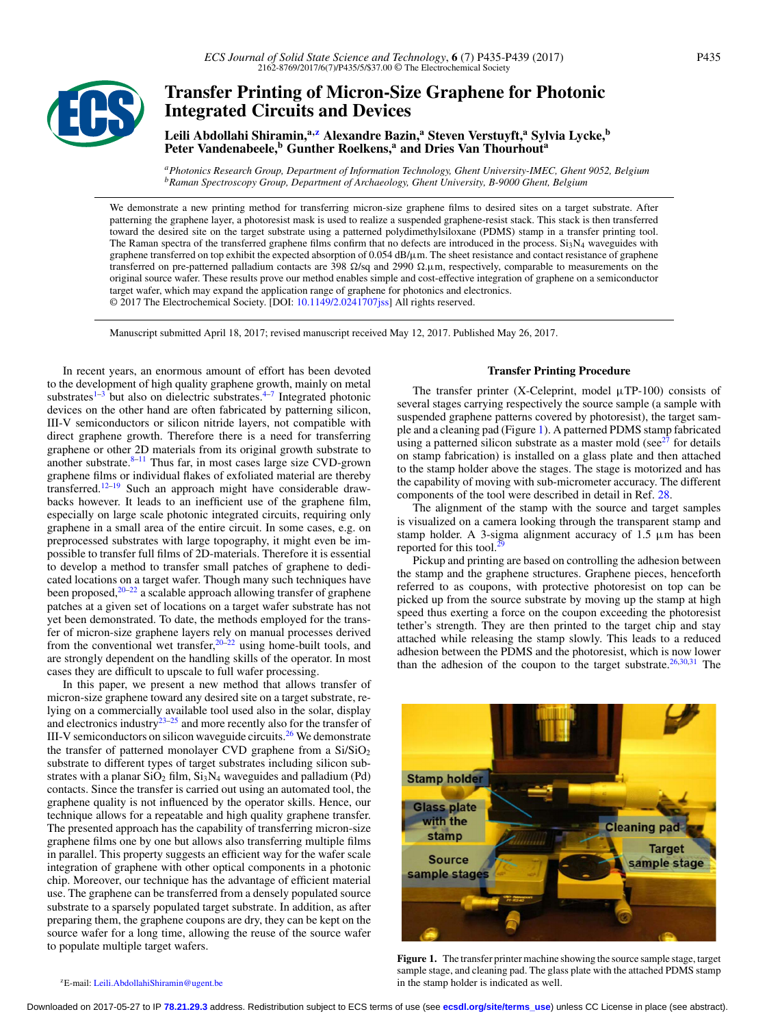

# **Transfer Printing of Micron-Size Graphene for Photonic Integrated Circuits and Devices**

# Leili Abdollahi Shiramin,<sup>a[,z](#page-0-0)</sup> Alexandre Bazin,<sup>a</sup> Steven Verstuyft,<sup>a</sup> Sylvia Lycke,<sup>b</sup> Peter Vandenabeele,<sup>b</sup> Gunther Roelkens,<sup>a</sup> and Dries Van Thourhout<sup>a</sup>

*aPhotonics Research Group, Department of Information Technology, Ghent University-IMEC, Ghent 9052, Belgium bRaman Spectroscopy Group, Department of Archaeology, Ghent University, B-9000 Ghent, Belgium*

We demonstrate a new printing method for transferring micron-size graphene films to desired sites on a target substrate. After patterning the graphene layer, a photoresist mask is used to realize a suspended graphene-resist stack. This stack is then transferred toward the desired site on the target substrate using a patterned polydimethylsiloxane (PDMS) stamp in a transfer printing tool. The Raman spectra of the transferred graphene films confirm that no defects are introduced in the process. Si3N<sub>4</sub> waveguides with graphene transferred on top exhibit the expected absorption of 0.054 dB/μm. The sheet resistance and contact resistance of graphene transferred on pre-patterned palladium contacts are 398 Ω/sq and 2990 Ω.µm, respectively, comparable to measurements on the original source wafer. These results prove our method enables simple and cost-effective integration of graphene on a semiconductor target wafer, which may expand the application range of graphene for photonics and electronics. © 2017 The Electrochemical Society. [DOI: [10.1149/2.0241707jss\]](http://dx.doi.org/10.1149/2.0241707jss) All rights reserved.

Manuscript submitted April 18, 2017; revised manuscript received May 12, 2017. Published May 26, 2017.

In recent years, an enormous amount of effort has been devoted to the development of high quality graphene growth, mainly on metal substrates $1-3$  $1-3$  but also on dielectric substrates. $4-7$  Integrated photonic devices on the other hand are often fabricated by patterning silicon, III-V semiconductors or silicon nitride layers, not compatible with direct graphene growth. Therefore there is a need for transferring graphene or other 2D materials from its original growth substrate to another substrate. $8-11$  $8-11$  Thus far, in most cases large size CVD-grown graphene films or individual flakes of exfoliated material are thereby transferred.[12–](#page-4-4)[19](#page-4-5) Such an approach might have considerable drawbacks however. It leads to an inefficient use of the graphene film, especially on large scale photonic integrated circuits, requiring only graphene in a small area of the entire circuit. In some cases, e.g. on preprocessed substrates with large topography, it might even be impossible to transfer full films of 2D-materials. Therefore it is essential to develop a method to transfer small patches of graphene to dedicated locations on a target wafer. Though many such techniques have been proposed,<sup>20–[22](#page-4-7)</sup> a scalable approach allowing transfer of graphene patches at a given set of locations on a target wafer substrate has not yet been demonstrated. To date, the methods employed for the transfer of micron-size graphene layers rely on manual processes derived from the conventional wet transfer,  $20-22$  $20-22$  using home-built tools, and are strongly dependent on the handling skills of the operator. In most cases they are difficult to upscale to full wafer processing.

In this paper, we present a new method that allows transfer of micron-size graphene toward any desired site on a target substrate, relying on a commercially available tool used also in the solar, display and electronics industry $23-25$  $23-25$  and more recently also for the transfer of III-V semiconductors on silicon waveguide circuits.<sup>26</sup> We demonstrate the transfer of patterned monolayer CVD graphene from a  $Si/SiO<sub>2</sub>$ substrate to different types of target substrates including silicon substrates with a planar  $SiO<sub>2</sub>$  film,  $Si<sub>3</sub>N<sub>4</sub>$  waveguides and palladium (Pd) contacts. Since the transfer is carried out using an automated tool, the graphene quality is not influenced by the operator skills. Hence, our technique allows for a repeatable and high quality graphene transfer. The presented approach has the capability of transferring micron-size graphene films one by one but allows also transferring multiple films in parallel. This property suggests an efficient way for the wafer scale integration of graphene with other optical components in a photonic chip. Moreover, our technique has the advantage of efficient material use. The graphene can be transferred from a densely populated source substrate to a sparsely populated target substrate. In addition, as after preparing them, the graphene coupons are dry, they can be kept on the source wafer for a long time, allowing the reuse of the source wafer to populate multiple target wafers.

## **Transfer Printing Procedure**

The transfer printer (X-Celeprint, model  $\mu$ TP-100) consists of several stages carrying respectively the source sample (a sample with suspended graphene patterns covered by photoresist), the target sample and a cleaning pad (Figure [1\)](#page-0-1). A patterned PDMS stamp fabricated using a patterned silicon substrate as a master mold (see $27$  for details on stamp fabrication) is installed on a glass plate and then attached to the stamp holder above the stages. The stage is motorized and has the capability of moving with sub-micrometer accuracy. The different components of the tool were described in detail in Ref. [28.](#page-4-12)

The alignment of the stamp with the source and target samples is visualized on a camera looking through the transparent stamp and stamp holder. A 3-sigma alignment accuracy of 1.5 μm has been reported for this tool. $\frac{3}{2}$ 

Pickup and printing are based on controlling the adhesion between the stamp and the graphene structures. Graphene pieces, henceforth referred to as coupons, with protective photoresist on top can be picked up from the source substrate by moving up the stamp at high speed thus exerting a force on the coupon exceeding the photoresist tether's strength. They are then printed to the target chip and stay attached while releasing the stamp slowly. This leads to a reduced adhesion between the PDMS and the photoresist, which is now lower than the adhesion of the coupon to the target substrate.<sup>[26,](#page-4-10)[30](#page-4-14)[,31](#page-4-15)</sup> The

<span id="page-0-1"></span>

**Figure 1.** The transfer printer machine showing the source sample stage, target sample stage, and cleaning pad. The glass plate with the attached PDMS stamp in the stamp holder is indicated as well.

<span id="page-0-0"></span>zE-mail: [Leili.AbdollahiShiramin@ugent.be](mailto:Leili.AbdollahiShiramin@ugent.be)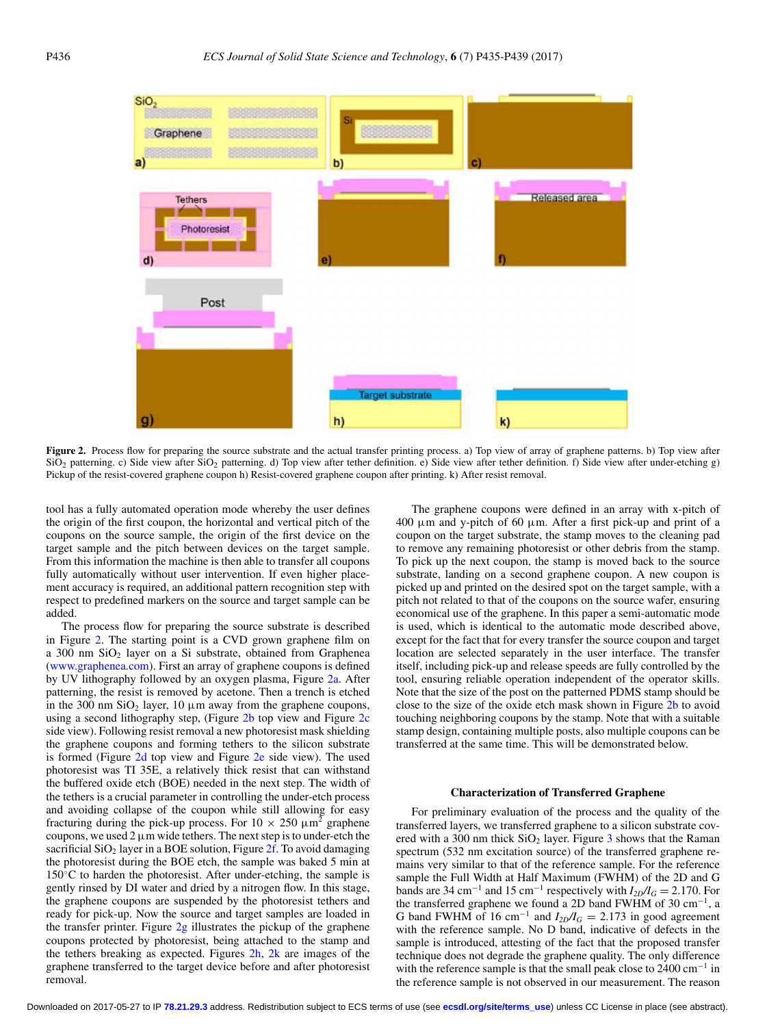<span id="page-1-0"></span>

Figure 2. Process flow for preparing the source substrate and the actual transfer printing process. a) Top view of array of graphene patterns. b) Top view after  $SiO<sub>2</sub>$  patterning. c) Side view after SiO<sub>2</sub> patterning. d) Top view after tether definition. e) Side view after tether definition. f) Side view after under-etching g) Pickup of the resist-covered graphene coupon h) Resist-covered graphene coupon after printing. k) After resist removal.

tool has a fully automated operation mode whereby the user defines the origin of the first coupon, the horizontal and vertical pitch of the coupons on the source sample, the origin of the first device on the target sample and the pitch between devices on the target sample. From this information the machine is then able to transfer all coupons fully automatically without user intervention. If even higher placement accuracy is required, an additional pattern recognition step with respect to predefined markers on the source and target sample can be added.

The process flow for preparing the source substrate is described in Figure [2.](#page-1-0) The starting point is a CVD grown graphene film on a 300 nm  $SiO<sub>2</sub>$  layer on a Si substrate, obtained from Graphenea [\(www.graphenea.com\)](file:www.graphenea.com). First an array of graphene coupons is defined by UV lithography followed by an oxygen plasma, Figure [2a.](#page-1-0) After patterning, the resist is removed by acetone. Then a trench is etched in the 300 nm  $SiO<sub>2</sub>$  layer, 10  $\mu$ m away from the graphene coupons, using a second lithography step, (Figure [2b](#page-1-0) top view and Figure [2c](#page-1-0) side view). Following resist removal a new photoresist mask shielding the graphene coupons and forming tethers to the silicon substrate is formed (Figure [2d](#page-1-0) top view and Figure [2e](#page-1-0) side view). The used photoresist was TI 35E, a relatively thick resist that can withstand the buffered oxide etch (BOE) needed in the next step. The width of the tethers is a crucial parameter in controlling the under-etch process and avoiding collapse of the coupon while still allowing for easy fracturing during the pick-up process. For  $10 \times 250 \mu m^2$  graphene coupons, we used  $2 \mu m$  wide tethers. The next step is to under-etch the sacrificial  $SiO<sub>2</sub>$  layer in a BOE solution, Figure [2f.](#page-1-0) To avoid damaging the photoresist during the BOE etch, the sample was baked 5 min at 150◦C to harden the photoresist. After under-etching, the sample is gently rinsed by DI water and dried by a nitrogen flow. In this stage, the graphene coupons are suspended by the photoresist tethers and ready for pick-up. Now the source and target samples are loaded in the transfer printer. Figure [2g](#page-1-0) illustrates the pickup of the graphene coupons protected by photoresist, being attached to the stamp and the tethers breaking as expected. Figures [2h,](#page-1-0) [2k](#page-1-0) are images of the graphene transferred to the target device before and after photoresist removal.

The graphene coupons were defined in an array with x-pitch of 400 μm and y-pitch of 60 μm. After a first pick-up and print of a coupon on the target substrate, the stamp moves to the cleaning pad to remove any remaining photoresist or other debris from the stamp. To pick up the next coupon, the stamp is moved back to the source substrate, landing on a second graphene coupon. A new coupon is picked up and printed on the desired spot on the target sample, with a pitch not related to that of the coupons on the source wafer, ensuring economical use of the graphene. In this paper a semi-automatic mode is used, which is identical to the automatic mode described above, except for the fact that for every transfer the source coupon and target location are selected separately in the user interface. The transfer itself, including pick-up and release speeds are fully controlled by the tool, ensuring reliable operation independent of the operator skills. Note that the size of the post on the patterned PDMS stamp should be close to the size of the oxide etch mask shown in Figure [2b](#page-1-0) to avoid touching neighboring coupons by the stamp. Note that with a suitable stamp design, containing multiple posts, also multiple coupons can be transferred at the same time. This will be demonstrated below.

#### **Characterization of Transferred Graphene**

For preliminary evaluation of the process and the quality of the transferred layers, we transferred graphene to a silicon substrate cov-ered with a [3](#page-2-0)00 nm thick  $SiO<sub>2</sub>$  layer. Figure 3 shows that the Raman spectrum (532 nm excitation source) of the transferred graphene remains very similar to that of the reference sample. For the reference sample the Full Width at Half Maximum (FWHM) of the 2D and G bands are 34 cm<sup>-1</sup> and 15 cm<sup>-1</sup> respectively with  $I_{2D}/I_G = 2.170$ . For the transferred graphene we found a 2D band FWHM of 30  $cm^{-1}$ , a G band FWHM of 16 cm<sup>-1</sup> and  $I_{2D}/I_G = 2.173$  in good agreement with the reference sample. No D band, indicative of defects in the sample is introduced, attesting of the fact that the proposed transfer technique does not degrade the graphene quality. The only difference with the reference sample is that the small peak close to  $2400 \text{ cm}^{-1}$  in the reference sample is not observed in our measurement. The reason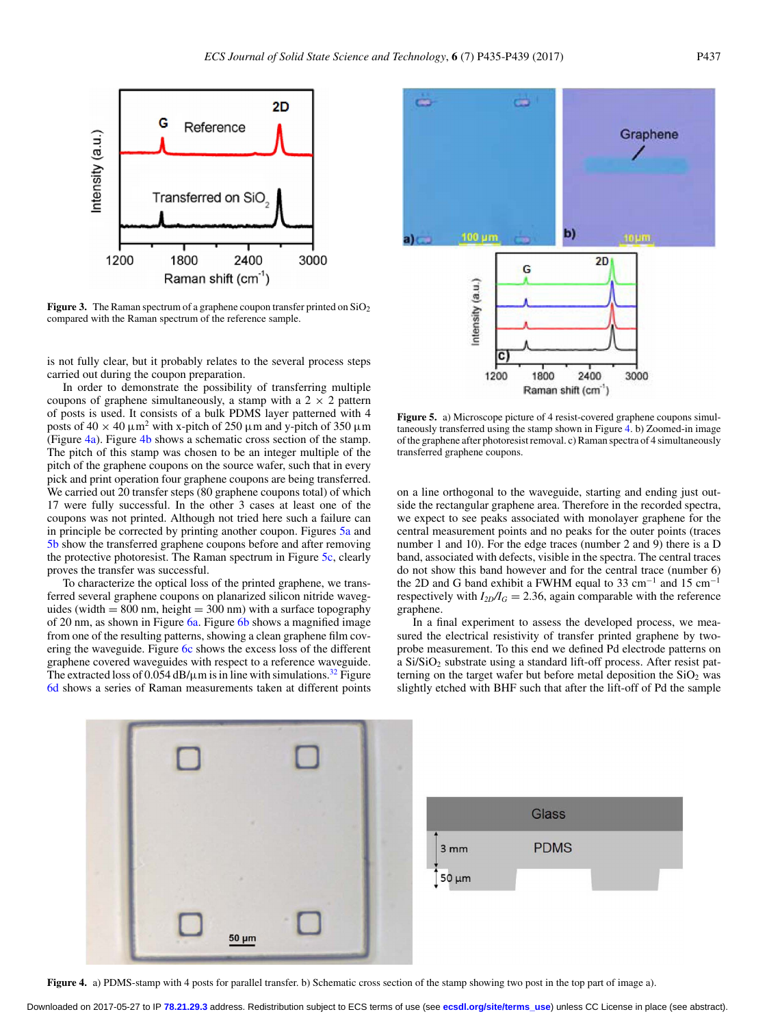<span id="page-2-0"></span>

Figure 3. The Raman spectrum of a graphene coupon transfer printed on SiO<sub>2</sub> compared with the Raman spectrum of the reference sample.

is not fully clear, but it probably relates to the several process steps carried out during the coupon preparation.

In order to demonstrate the possibility of transferring multiple coupons of graphene simultaneously, a stamp with a  $2 \times 2$  pattern of posts is used. It consists of a bulk PDMS layer patterned with 4 posts of  $40 \times 40 \mu m^2$  with x-pitch of 250  $\mu$ m and y-pitch of 350  $\mu$ m (Figure [4a\)](#page-2-1). Figure [4b](#page-2-1) shows a schematic cross section of the stamp. The pitch of this stamp was chosen to be an integer multiple of the pitch of the graphene coupons on the source wafer, such that in every pick and print operation four graphene coupons are being transferred. We carried out 20 transfer steps (80 graphene coupons total) of which 17 were fully successful. In the other 3 cases at least one of the coupons was not printed. Although not tried here such a failure can in principle be corrected by printing another coupon. Figures [5a](#page-2-2) and [5b](#page-2-2) show the transferred graphene coupons before and after removing the protective photoresist. The Raman spectrum in Figure [5c,](#page-2-2) clearly proves the transfer was successful.

To characterize the optical loss of the printed graphene, we transferred several graphene coupons on planarized silicon nitride waveguides (width  $= 800$  nm, height  $= 300$  nm) with a surface topography of 20 nm, as shown in Figure [6a.](#page-3-2) Figure [6b](#page-3-2) shows a magnified image from one of the resulting patterns, showing a clean graphene film cov-ering the waveguide. Figure [6c](#page-3-2) shows the excess loss of the different graphene covered waveguides with respect to a reference waveguide. The extracted loss of 0.054 dB/ $\mu$ m is in line with simulations.<sup>32</sup> Figure [6d](#page-3-2) shows a series of Raman measurements taken at different points

<span id="page-2-1"></span>

<span id="page-2-2"></span>

**Figure 5.** a) Microscope picture of 4 resist-covered graphene coupons simultaneously transferred using the stamp shown in Figure [4.](#page-2-1) b) Zoomed-in image of the graphene after photoresist removal. c) Raman spectra of 4 simultaneously transferred graphene coupons.

on a line orthogonal to the waveguide, starting and ending just outside the rectangular graphene area. Therefore in the recorded spectra, we expect to see peaks associated with monolayer graphene for the central measurement points and no peaks for the outer points (traces number 1 and 10). For the edge traces (number 2 and 9) there is a D band, associated with defects, visible in the spectra. The central traces do not show this band however and for the central trace (number 6) the 2D and G band exhibit a FWHM equal to 33 cm<sup>-1</sup> and 15 cm<sup>-1</sup> respectively with  $I_{2D}/I_G = 2.36$ , again comparable with the reference graphene.

In a final experiment to assess the developed process, we measured the electrical resistivity of transfer printed graphene by twoprobe measurement. To this end we defined Pd electrode patterns on a  $Si/SiO<sub>2</sub>$  substrate using a standard lift-off process. After resist patterning on the target wafer but before metal deposition the  $SiO<sub>2</sub>$  was slightly etched with BHF such that after the lift-off of Pd the sample



**Figure 4.** a) PDMS-stamp with 4 posts for parallel transfer. b) Schematic cross section of the stamp showing two post in the top part of image a).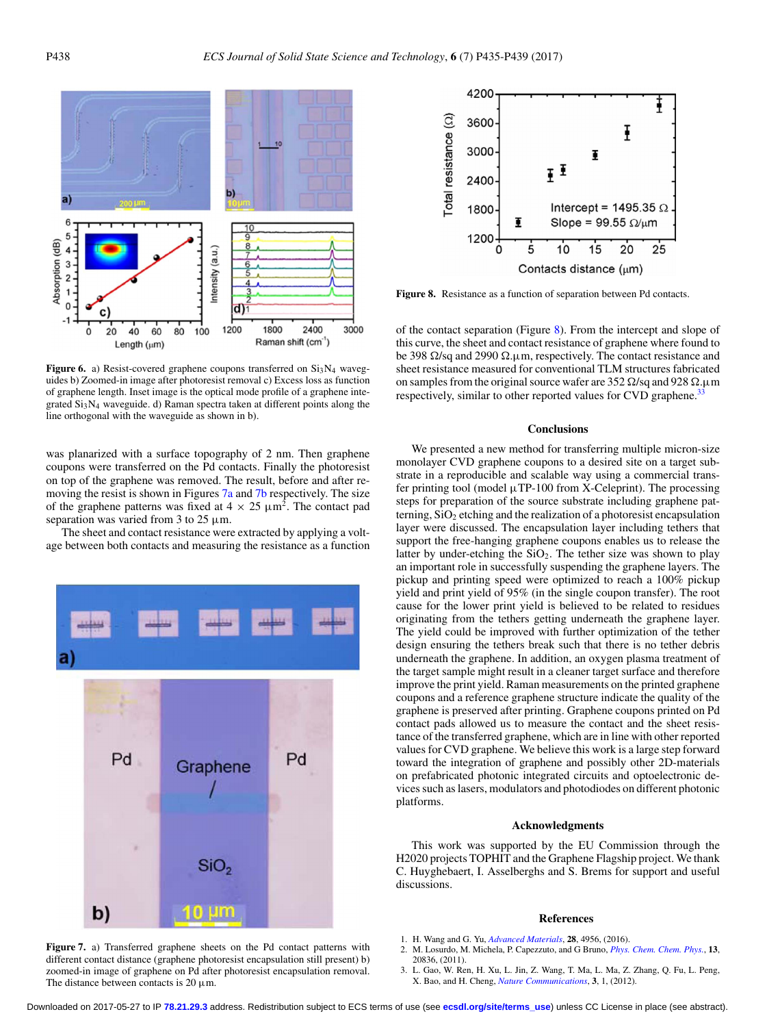<span id="page-3-2"></span>

**Figure 6.** a) Resist-covered graphene coupons transferred on  $Si<sub>3</sub>N<sub>4</sub>$  waveguides b) Zoomed-in image after photoresist removal c) Excess loss as function of graphene length. Inset image is the optical mode profile of a graphene integrated  $Si<sub>3</sub>N<sub>4</sub>$  waveguide. d) Raman spectra taken at different points along the line orthogonal with the waveguide as shown in b).

was planarized with a surface topography of 2 nm. Then graphene coupons were transferred on the Pd contacts. Finally the photoresist on top of the graphene was removed. The result, before and after removing the resist is shown in Figures [7a](#page-3-3) and [7b](#page-3-3) respectively. The size of the graphene patterns was fixed at  $4 \times 25 \mu m^2$ . The contact pad separation was varied from 3 to 25  $\mu$ m.

The sheet and contact resistance were extracted by applying a voltage between both contacts and measuring the resistance as a function

<span id="page-3-3"></span>



<span id="page-3-4"></span>

**Figure 8.** Resistance as a function of separation between Pd contacts.

of the contact separation (Figure [8\)](#page-3-4). From the intercept and slope of this curve, the sheet and contact resistance of graphene where found to be 398  $\Omega$ /sq and 2990  $\Omega$ . µm, respectively. The contact resistance and sheet resistance measured for conventional TLM structures fabricated on samples from the original source wafer are 352  $\Omega$ /sq and 928  $\Omega$ . $\mu$ m respectively, similar to other reported values for CVD graphene.

#### **Conclusions**

We presented a new method for transferring multiple micron-size monolayer CVD graphene coupons to a desired site on a target substrate in a reproducible and scalable way using a commercial transfer printing tool (model μTP-100 from X-Celeprint). The processing steps for preparation of the source substrate including graphene patterning,  $SiO<sub>2</sub>$  etching and the realization of a photoresist encapsulation layer were discussed. The encapsulation layer including tethers that support the free-hanging graphene coupons enables us to release the latter by under-etching the  $SiO<sub>2</sub>$ . The tether size was shown to play an important role in successfully suspending the graphene layers. The pickup and printing speed were optimized to reach a 100% pickup yield and print yield of 95% (in the single coupon transfer). The root cause for the lower print yield is believed to be related to residues originating from the tethers getting underneath the graphene layer. The yield could be improved with further optimization of the tether design ensuring the tethers break such that there is no tether debris underneath the graphene. In addition, an oxygen plasma treatment of the target sample might result in a cleaner target surface and therefore improve the print yield. Raman measurements on the printed graphene coupons and a reference graphene structure indicate the quality of the graphene is preserved after printing. Graphene coupons printed on Pd contact pads allowed us to measure the contact and the sheet resistance of the transferred graphene, which are in line with other reported values for CVD graphene. We believe this work is a large step forward toward the integration of graphene and possibly other 2D-materials on prefabricated photonic integrated circuits and optoelectronic devices such as lasers, modulators and photodiodes on different photonic platforms.

#### **Acknowledgments**

This work was supported by the EU Commission through the H2020 projects TOPHIT and the Graphene Flagship project. We thank C. Huyghebaert, I. Asselberghs and S. Brems for support and useful discussions.

### <span id="page-3-1"></span><span id="page-3-0"></span>**References**

- 1. H. Wang and G. Yu, *[Advanced Materials](http://dx.doi.org/10.1002/adma.201505123)*, **28**, 4956, (2016).
- 2. M. Losurdo, M. Michela, P. Capezzuto, and G Bruno, *[Phys. Chem. Chem. Phys.](http://dx.doi.org/10.1039/c1cp22347j)*, **13**, 20836, (2011).
- 3. L. Gao, W. Ren, H. Xu, L. Jin, Z. Wang, T. Ma, L. Ma, Z. Zhang, Q. Fu, L. Peng, X. Bao, and H. Cheng, *[Nature Communications](http://dx.doi.org/10.1038/ncomms1702)*, **3**, 1, (2012).

Downloaded on 2017-05-27 to IP **78.21.29.3** address. Redistribution subject to ECS terms of use (see **[ecsdl.org/site/terms\\_use](http://ecsdl.org/site/terms_use)**) unless CC License in place (see abstract).